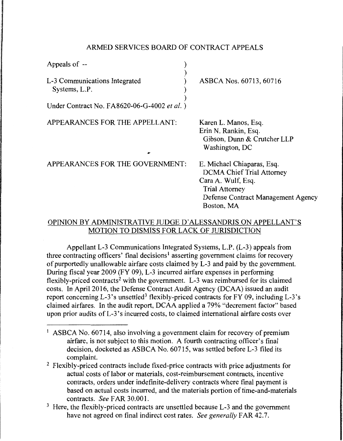## ARMED SERVICES BOARD OF CONTRACT APPEALS

| Appeals of --                                                                                 |                                                                                                                                                     |
|-----------------------------------------------------------------------------------------------|-----------------------------------------------------------------------------------------------------------------------------------------------------|
| L-3 Communications Integrated<br>Systems, L.P.<br>Under Contract No. FA8620-06-G-4002 et al.) | ASBCA Nos. 60713, 60716                                                                                                                             |
| APPEARANCES FOR THE APPELLANT:                                                                | Karen L. Manos, Esq.<br>Erin N. Rankin, Esq.<br>Gibson, Dunn & Crutcher LLP<br>Washington, DC                                                       |
| APPEARANCES FOR THE GOVERNMENT:                                                               | E. Michael Chiaparas, Esq.<br><b>DCMA Chief Trial Attorney</b><br>Cara A. Wulf, Esq.<br><b>Trial Attorney</b><br>Defense Contract Management Agency |

## OPINION BY ADMINISTRATIVE JUDGE D'ALESSANDRIS ON APPELLANT'S MOTION TO DISMISS FOR LACK OF JURISDICTION

Boston, MA

Appellant L-3 Communications Integrated Systems, L.P. (L-3) appeals from three contracting officers' final decisions<sup>1</sup> asserting government claims for recovery of purportedly unallowable airfare costs claimed by L-3 and paid by the government. During fiscal year 2009 (FY 09), L-3 incurred airfare expenses in performing flexibly-priced contracts<sup>2</sup> with the government. L-3 was reimbursed for its claimed costs. In April 2016, the Defense Contract Audit Agency (DCAA) issued an audit report concerning L-3's unsettled<sup>3</sup> flexibly-priced contracts for FY 09, including L-3's claimed airfares. In the audit report, DCAA applied a 79% "decrement factor" based upon prior audits of L-3's incurred costs, to claimed international airfare costs over

- <sup>1</sup> ASBCA No. 60714, also involving a government claim for recovery of premium airfare, is not subject to this motion. A fourth contracting officer's final decision, docketed as ASBCA No. 60715, was settled before L-3 filed its complaint.
- <sup>2</sup> Flexibly-priced contracts include fixed-price contracts with price adjustments for actual costs of labor or materials, cost-reimbursement contracts, incentive contracts, orders under indefinite-delivery contracts where final payment is based on actual costs incurred, and the materials portion of time-and-materials contracts. *See* FAR 30.00 I.
- <sup>3</sup> Here, the flexibly-priced contracts are unsettled because L-3 and the government have not agreed on final indirect cost rates. *See generally* FAR 42.7.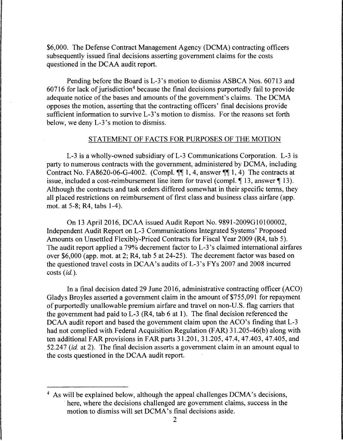\$6,000. The Defense Contract Management Agency (DCMA) contracting officers subsequently issued final decisions asserting government claims for the costs questioned in the DCAA audit report.

Pending before the Board is L-3's motion to dismiss ASBCA Nos. 60713 and  $60716$  for lack of jurisdiction<sup>4</sup> because the final decisions purportedly fail to provide adequate notice of the bases and amounts of the government's claims. The DCMA opposes the motion, asserting that the contracting officers' final decisions provide sufficient information to survive L-3's motion to dismiss. For the reasons set forth below, we deny L-3's motion to dismiss.

### STATEMENT OF FACTS FOR PURPOSES OF THE MOTION

L-3 is a wholly-owned subsidiary of L-3 Communications Corporation. L-3 is party to numerous contracts with the government, administered by DCMA, including Contract No. FA8620-06-G-4002. (Compl.  $\P\P$  1, 4, answer  $\P\P$  1, 4) The contracts at issue, included a cost-reimbursement line item for travel (compl.  $\P$  13, answer  $\P$  13). Although the contracts and task orders differed somewhat in their specific terms, they all placed restrictions on reimbursement of first class and business class airfare (app. mot. at 5-8; R4, tabs 1-4 ).

On 13 April 2016, DCAA issued Audit Report No. 9891-2009Gl0100002, Independent Audit Report on L-3 Communications Integrated Systems' Proposed Amounts on Unsettled Flexibly-Priced Contracts for Fiscal Year 2009 (R4, tab 5). The audit report applied a 79% decrement factor to L-3 's claimed international airfares over \$6,000 (app. mot. at 2; R4, tab 5 at 24-25). The decrement factor was based on the questioned travel costs in DCAA's audits of L-3's FYs 2007 and 2008 incurred costs *(id.).* 

In a final decision dated 29 June 2016, administrative contracting officer (ACO) Gladys Broyles asserted a government claim in the amount of \$755,091 for repayment of purportedly unallowable premium airfare and travel on non-U.S. flag carriers that the government had paid to L-3 (R4, tab  $6$  at 1). The final decision referenced the DCAA audit report and based the government claim upon the ACO's finding that L-3 had not complied with Federal Acquisition Regulation (FAR) 31.205-46(b) along with ten additional FAR provisions in FAR parts 31.201, 31.205, 47.4, 47.403, 47.405, and 52.24 7 *(id.* at 2). The final decision asserts a government claim in an amount equal to the costs questioned in the DCAA audit report.

<sup>4</sup> As will be explained below, although the appeal challenges DCMA's decisions, here, where the decisions challenged are government claims, success in the motion to dismiss will set DCMA's final decisions aside.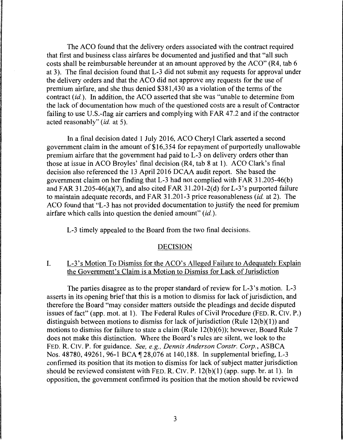The ACO found that the delivery orders associated with the contract required that first and business class airfares be documented and justified and that "all such costs shall be reimbursable hereunder at an amount approved by the ACO" (R4, tab 6 at 3). The final decision found that L-3 did not submit any requests for approval under the delivery orders and that the ACO did not approve any requests for the use of premium airfare, and she thus denied \$381,430 as a violation of the terms of the contract *(id.).* In addition, the ACO asserted that she was "unable to determine from the lack of documentation how much of the questioned costs are a result of Contractor failing to use U.S.-flag air carriers and complying with FAR 47.2 and if the contractor acted reasonably" *(id.* at 5).

In a final decision dated 1 July 2016, ACO Cheryl Clark asserted a second government claim in the amount of \$16,3 54 for repayment of purportedly unallowable premium airfare that the government had paid to L-3 on delivery orders other than those at issue in ACO Broyles' final decision (R4, tab 8 at 1). ACO Clark's final decision also referenced the 13 April 2016 DCAA audit report. She based the government claim on her finding that L-3 had not complied with FAR 3 l .205-46(b) and FAR 31.205-46(a)(7), and also cited FAR 31.201-2(d) for L-3's purported failure to maintain adequate records, and FAR 31.201-3 price reasonableness *(id.* at 2). The ACO found that "L-3 has not provided documentation to justify the need for premium airfare which calls into question the denied amount"  $(id)$ .

L-3 timely appealed to the Board from the two final decisions.

#### DECISION

# I. L-3's Motion To Dismiss for the ACO's Alleged Failure to Adequately Explain the Government's Claim is a Motion to Dismiss for Lack of Jurisdiction

The parties disagree as to the proper standard of review for L-3's motion. L-3 asserts in its opening brief that this is a motion to dismiss for lack of jurisdiction, and therefore the Board "may consider matters outside the pleadings and decide disputed issues of fact" (app. mot. at 1). The Federal Rules of Civil Procedure (FED. R. CIV. P.) distinguish between motions to dismiss for lack of jurisdiction (Rule  $12(b)(1)$ ) and motions to dismiss for failure to state a claim (Rule 12(b)(6)); however, Board Rule 7 does not make this distinction. Where the Board's rules are silent, we look to the FED. R. CIV. P. for guidance. *See, e.g., Dennis Anderson Constr. Corp.,* ASBCA Nos. 48780, 49261, 96-1 BCA | 28,076 at 140,188. In supplemental briefing, L-3 confirmed its position that its motion to dismiss for lack of subject matter jurisdiction should be reviewed consistent with FED. R. CIV. P.  $12(b)(1)$  (app. supp. br. at 1). In opposition, the government confirmed its position that the motion should be reviewed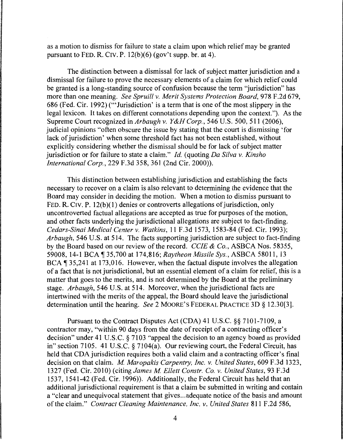as a motion to dismiss for failure to state a claim upon which relief may be granted pursuant to FED. R. CIV. P. 12(b)(6) (gov't supp. br. at 4).

The distinction between a dismissal for lack of subject matter jurisdiction and a dismissal for failure to prove the necessary elements of a claim for which relief could· be granted is a long-standing source of confusion because the term "jurisdiction" has more than one meaning. *See Spruill v. Merit Systems Protection Board,* 978 F.2d 679, 686 (Fed. Cir. 1992) ('"Jurisdiction' is a term that is one of the most slippery in the legal lexicon. It takes on different connotations depending upon the context."). As the Supreme Court recognized in *Arbaugh v. Y&H Corp.,* 546 U.S. 500, 511 (2006), judicial opinions "often obscure the issue by stating that the court is dismissing 'for lack of jurisdiction' when some threshold fact has not been established, without explicitly considering whether the dismissal should be for lack of subject matter jurisdiction or for failure to state a claim." *Id.* (quoting *Da Silva v. Kinsho International Corp.,* 229 F.3d 358, 361 (2nd Cir. 2000)).

This distinction between establishing jurisdiction and establishing the facts necessary to recover on a claim is also relevant to determining the evidence that the Board may consider in deciding the motion. When a motion to dismiss pursuant to FED. R. CIV. P. 12(b)(1) denies or controverts allegations of jurisdiction, only uncontroverted factual allegations are accepted as true for purposes of the motion, and other facts underlying the jurisdictional allegations are subject to fact-finding. *Cedars-Sinai Medical Center v. Watkins,* 11F.3d1573, 1583-84 (Fed. Cir. 1993); *Arbaugh,* 546 U.S. at 514. The facts supporting jurisdiction are subject to fact-finding by the Board based on our review of the record. *CCIE* & *Co.,* ASBCA Nos. 58355, 59008, 14-1 BCA 135,700 at 174,816; *Raytheon Missile Sys.*, *ASBCA 58011*, 13 BCA  $\text{\textsf{T}}$  35,241 at 173,016. However, when the factual dispute involves the allegation of a fact that is not jurisdictional, but an essential element of a claim for relief, this is a matter that goes to the merits, and is not determined by the Board at the preliminary stage. *Arbaugh,* 546 U.S. at 514. Moreover, when the jurisdictional facts are intertwined with the merits of the appeal, the Board should leave the jurisdictional determination until the hearing. *See* 2 MOORE'S FEDERAL PRACTICE 3D § 12.30[3].

Pursuant to the Contract Disputes Act (CDA) 41 U.S.C. §§ 7101-7109, a contractor may, "within 90 days from the date of receipt of a contracting officer's decision" under 41 U.S.C. § 7103 "appeal the decision to an agency board as provided in" section 7105. 41 U.S.C. § 7104(a). Our reviewing court, the Federal Circuit, has held that CDA jurisdiction requires both a valid claim and a contracting officer's final decision on that claim. *M. Maropakis Carpentry, Inc. v. United States*, 609 F.3d 1323, 1327 (Fed. Cir. 2010) (citing *James M Ellett Constr. Co. v. United States,* 93 F.3d 1537, 1541-42 (Fed. Cir. 1996)). Additionally, the Federal Circuit has held that an additional jurisdictional requirement is that a claim be submitted in writing and contain a "clear and unequivocal statement that gives ... adequate notice of the basis and amount of the claim." *Contract Cleaning Maintenance, Inc. v. United States* 811 F.2d 586,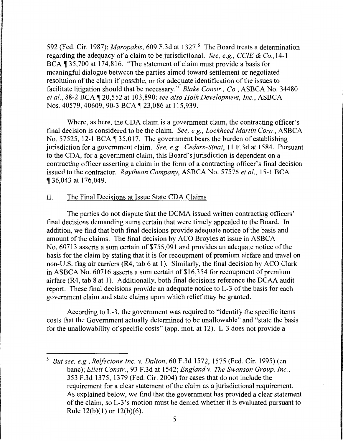592 (Fed. Cir. 1987); *Maropakis,* 609 F.3d at 1327.5 The Board treats a determination regarding the adequacy of a claim to be jurisdictional. *See, e.g., CCIE* & *Co.,* 14-1 BCA, 135,700 at 174,816. "The statement of claim must provide a basis for meaningful dialogue between the parties aimed toward settlement or negotiated resolution of the claim if possible, or for adequate identification of the issues to facilitate litigation should that be necessary." *Blake Constr., Co.,* ASBCA No. 34480 *et al.,* 88-2 BCA, 20,552 at 103,890; *see also Holk Development, Inc.,* ASBCA Nos. 40579, 40609, 90-3 BCA ¶ 23,086 at 115,939.

Where, as here, the CDA claim is a government claim, the contracting officer's final decision is considered to be the claim. *See, e.g., Lockheed Martin Corp.,* ASBCA No. 57525, 12-1 BCA,  $\sqrt{35,017}$ . The government bears the burden of establishing jurisdiction for a government claim. *See, e.g., Cedars-Sinai,* 11 F.3d at 1584. Pursuant to the CDA, for a government claim, this Board's jurisdiction is dependent on a contracting officer asserting a claim in the form of a contracting officer's final decision issued to the contractor. *Raytheon Company,* ASBCA No. 57576 *et al.,* 15-1 BCA , 36,043 at 176,049.

## II. The Final Decisions at Issue State CDA Claims

The parties do not dispute that the DCMA issued written contracting officers' final decisions demanding sums certain that were timely appealed to the Board. In addition, we find that both final decisions provide adequate notice of the basis and amount of the claims. The final decision by ACO Broyles at issue in ASBCA No. 60713 asserts a sum certain of \$755,091 and provides an adequate notice of the basis for the claim by stating that it is for recoupment of premium airfare and travel on non-U.S. flag air carriers (R4, tab 6 at 1). Similarly, the final decision by ACO Clark in ASBCA No. 60716 asserts a sum certain of \$16,354 for recoupment of premium airfare (R4, tab 8 at 1). Additionally, both final decisions reference the DCAA audit report. These final decisions provide an adequate notice to L-3 of the basis for each government claim and state claims upon which relief may be granted.

According to L-3, the government was required to "identify the specific items costs that the Government actually determined to be unallowable" and "state the basis for the unallowability of specific costs" (app. mot. at 12). L-3 does not provide a

<sup>5</sup>*But see, e.g., Relfectone Inc. v. Dalton,* 60 F.3d 1572, 1575 (Fed. Cir. 1995) (en bane); *Ellett Constr.,* 93 F .3d at 1542; *England v. The Swanson Group, Inc.,*  353 F.3d 1375, 1379 (Fed. Cir. 2004) for cases that do not include the requirement for a clear statement of the claim as a jurisdictional requirement. As explained below, we find that the government has provided a clear statement of the claim, so L-3 's motion must be denied whether it is evaluated pursuant to Rule  $12(b)(1)$  or  $12(b)(6)$ .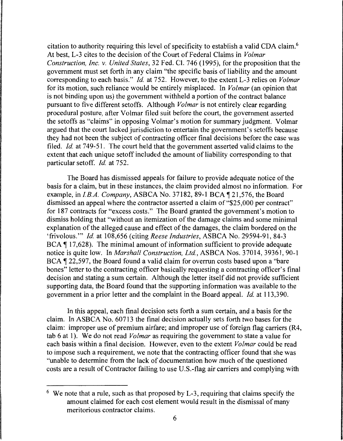citation to authority requiring this level of specificity to establish a valid CDA claim.6 At best, L-3 cites to the decision of the Court of Federal Claims in *Volmar Construction, Inc. v. United States,* 32 Fed. Cl. 746 (1995), for the proposition that the government must set forth in any claim "the specific basis of liability and the amount corresponding to each basis." *Id.* at 752. However, to the extent L-3 relies on *Volmar*  for its motion, such reliance would be entirely misplaced. In *Volmar* (an opinion that is not binding upon us) the government withheld a portion of the contract balance pursuant to five different setoffs. Although *Volmar* is not entirely clear regarding procedural posture, after Volmar filed suit before the court, the government asserted the setoffs as "claims" in opposing Volmar's motion for summary judgment. Volmar argued that the court lacked jurisdiction to entertain the government's setoffs because they had not been the subject of contracting officer final decisions before the case was filed. *Id.* at 749-51. The court held that the government asserted valid claims to the extent that each unique setoff included the amount of liability corresponding to that particular setoff. *Id.* at 752.

The Board has dismissed appeals for failure to provide adequate notice of the basis for a claim, but in these instances, the claim provided almost no information. For example, in *I.B.A. Company*, ASBCA No. 37182, 89-1 BCA 1 21,576, the Board dismissed an appeal where the contractor asserted a claim of "\$25,000 per contract" for 187 contracts for "excess costs." The Board granted the government's motion to dismiss holding that "without an itemization of the damage claims and some minimal explanation of the alleged cause and effect of the damages, the claim bordered on the 'frivolous.'" *Id.* at 108,656 (citing *Reese Industries,* ASBCA No. 29594-91, 84-3  $BCA \parallel 17,628$ ). The minimal amount of information sufficient to provide adequate notice is quite low. In *Marshall Construction, Ltd.,* ASBCA Nos. 37014, 39361, 90-1 BCA ¶ 22,597, the Board found a valid claim for overrun costs based upon a "bare" bones" letter to the contracting officer basically requesting a contracting officer's final decision and stating a sum certain. Although the letter itself did not provide sufficient supporting data, the Board found that the supporting information was available to the government in a prior letter and the complaint in the Board appeal. *Id.* at 113,390.

In this appeal, each final decision sets forth a sum certain, and a basis for the claim. In ASBCA No. 60713 the final decision actually sets forth two bases for the claim: improper use of premium airfare; and improper use of foreign flag carriers (R4, tab 6 at 1). We do not read *Volmar* as requiring the government to state a value for each basis within a final decision. However, even to the extent *Volmar* could be read to impose such a requirement, we note that the contracting officer found that she was "unable to determine from the lack of documentation how much of the questioned costs are a result of Contractor failing to use U.S.-flag air carriers and complying with

 $6\,$  We note that a rule, such as that proposed by L-3, requiring that claims specify the amount claimed for each cost element would result in the dismissal of many meritorious contractor claims.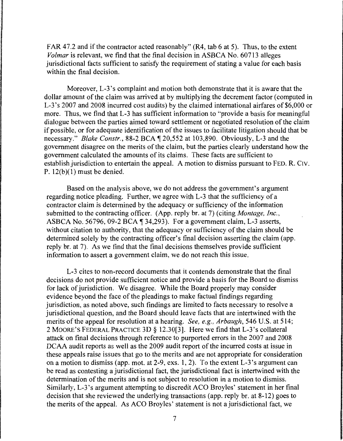FAR 47.2 and if the contractor acted reasonably"  $(R4, tab 6 at 5)$ . Thus, to the extent *Volmar* is relevant, we find that the final decision in ASBCA No. 60713 alleges jurisdictional facts sufficient to satisfy the requirement of stating a value for each basis within the final decision.

Moreover, L-3's complaint and motion both demonstrate that it is aware that the dollar amount of the claim was arrived at by multiplying the decrement factor (computed in L-3's 2007 and 2008 incurred cost audits) by the claimed international airfares of \$6,000 or more. Thus, we find that L-3 has sufficient information to "provide a basis for meaningful dialogue between the parties aimed toward settlement or negotiated resolution of the claim if possible, or for adequate identification of the issues to facilitate litigation should that be necessary." *Blake Constr.*, 88-2 BCA  $\P$  20,552 at 103,890. Obviously, L-3 and the government disagree on the merits of the claim, but the parties clearly understand how the government calculated the amounts of its claims. These facts are sufficient to establish jurisdiction to entertain the appeal. A motion to dismiss pursuant to FED. R. CIV. P.  $12(b)(1)$  must be denied.

Based on the analysis above, we do not address the government's argument regarding notice pleading. Further, we agree with L-3 that the sufficiency of a contractor claim is determined by the adequacy or sufficiency of the information submitted to the contracting officer. (App. reply br. at 7) (citing *Montage, Inc.,*  ASBCA No. 56796, 09-2 BCA  $\P$  34,293). For a government claim, L-3 asserts, without citation to authority, that the adequacy or sufficiency of the claim should be determined solely by the contracting officer's final decision asserting the claim (app. reply br. at 7). As we find that the final decisions themselves provide sufficient information to assert a government claim, we do not reach this issue.

L-3 cites to non-record documents that it contends demonstrate that the final decisions do not provide sufficient notice and provide a basis for the Board to dismiss for lack of jurisdiction. We disagree. While the Board properly may consider evidence beyond the face of the pleadings to make factual findings regarding jurisdiction, as noted above, such findings are limited to facts necessary to resolve a jurisdictional question, and the Board should leave facts that are intertwined with the merits of the appeal for resolution at a hearing. *See, e.g., Arbaugh,* 546 U.S. at 514; 2 MOORE'S FEDERAL PRACTICE 3D § 12.30[3]. Here we find that L-3 's collateral attack on final decisions through reference to purported errors in the 2007 and 2008 DCAA audit reports as well as the 2009 audit report of the incurred costs at issue in these appeals raise issues that go to the merits and are not appropriate for consideration on a motion to dismiss (app. mot. at 2-9, exs. 1, 2). To the extent L-3's argument can be read as contesting a jurisdictional fact, the jurisdictional fact is intertwined with the determination of the merits and is not subject to resolution in a motion to dismiss. Similarly, L-3 's argument attempting to discredit ACO Broyles' statement in her final decision that she reviewed the underlying transactions (app. reply br. at 8-12) goes to the merits of the appeal. As ACO Broyles' statement is not a jurisdictional fact, we